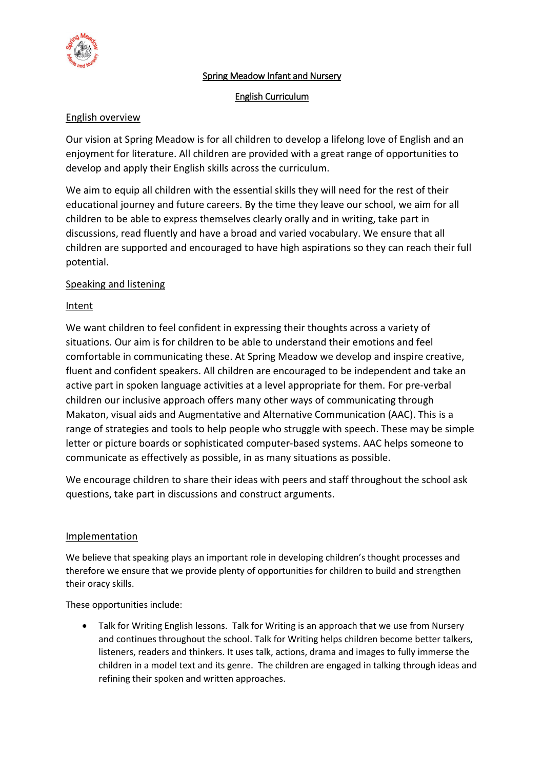

# Spring Meadow Infant and Nursery

# English Curriculum

# English overview

Our vision at Spring Meadow is for all children to develop a lifelong love of English and an enjoyment for literature. All children are provided with a great range of opportunities to develop and apply their English skills across the curriculum.

We aim to equip all children with the essential skills they will need for the rest of their educational journey and future careers. By the time they leave our school, we aim for all children to be able to express themselves clearly orally and in writing, take part in discussions, read fluently and have a broad and varied vocabulary. We ensure that all children are supported and encouraged to have high aspirations so they can reach their full potential.

# Speaking and listening

# Intent

We want children to feel confident in expressing their thoughts across a variety of situations. Our aim is for children to be able to understand their emotions and feel comfortable in communicating these. At Spring Meadow we develop and inspire creative, fluent and confident speakers. All children are encouraged to be independent and take an active part in spoken language activities at a level appropriate for them. For pre-verbal children our inclusive approach offers many other ways of communicating through Makaton, visual aids and Augmentative and Alternative Communication (AAC). This is a range of strategies and tools to help people who struggle with speech. These may be simple letter or picture boards or sophisticated computer-based systems. AAC helps someone to communicate as effectively as possible, in as many situations as possible.

We encourage children to share their ideas with peers and staff throughout the school ask questions, take part in discussions and construct arguments.

## Implementation

We believe that speaking plays an important role in developing children's thought processes and therefore we ensure that we provide plenty of opportunities for children to build and strengthen their oracy skills.

These opportunities include:

 Talk for Writing English lessons. Talk for Writing is an approach that we use from Nursery and continues throughout the school. Talk for Writing helps children become better talkers, listeners, readers and thinkers. It uses talk, actions, drama and images to fully immerse the children in a model text and its genre. The children are engaged in talking through ideas and refining their spoken and written approaches.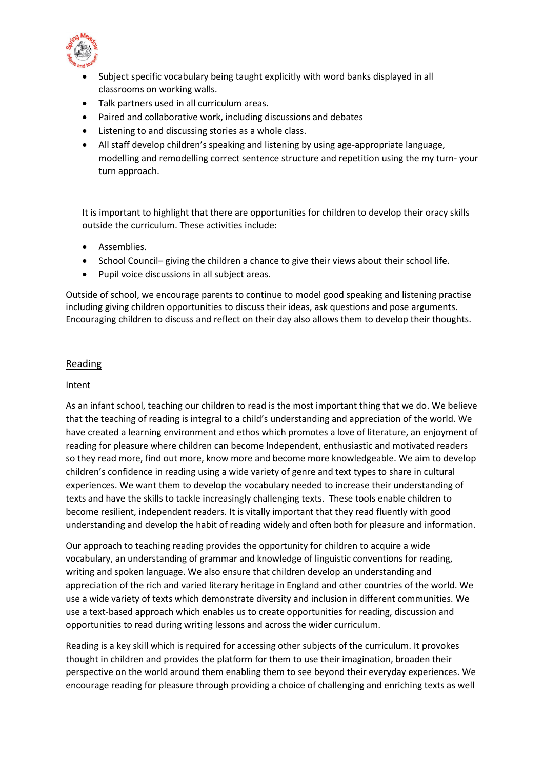

- Subject specific vocabulary being taught explicitly with word banks displayed in all classrooms on working walls.
- Talk partners used in all curriculum areas.
- Paired and collaborative work, including discussions and debates
- Listening to and discussing stories as a whole class.
- All staff develop children's speaking and listening by using age-appropriate language, modelling and remodelling correct sentence structure and repetition using the my turn- your turn approach.

It is important to highlight that there are opportunities for children to develop their oracy skills outside the curriculum. These activities include:

- **•** Assemblies.
- School Council– giving the children a chance to give their views about their school life.
- Pupil voice discussions in all subject areas.

Outside of school, we encourage parents to continue to model good speaking and listening practise including giving children opportunities to discuss their ideas, ask questions and pose arguments. Encouraging children to discuss and reflect on their day also allows them to develop their thoughts.

## Reading

#### Intent

As an infant school, teaching our children to read is the most important thing that we do. We believe that the teaching of reading is integral to a child's understanding and appreciation of the world. We have created a learning environment and ethos which promotes a love of literature, an enjoyment of reading for pleasure where children can become Independent, enthusiastic and motivated readers so they read more, find out more, know more and become more knowledgeable. We aim to develop children's confidence in reading using a wide variety of genre and text types to share in cultural experiences. We want them to develop the vocabulary needed to increase their understanding of texts and have the skills to tackle increasingly challenging texts. These tools enable children to become resilient, independent readers. It is vitally important that they read fluently with good understanding and develop the habit of reading widely and often both for pleasure and information.

Our approach to teaching reading provides the opportunity for children to acquire a wide vocabulary, an understanding of grammar and knowledge of linguistic conventions for reading, writing and spoken language. We also ensure that children develop an understanding and appreciation of the rich and varied literary heritage in England and other countries of the world. We use a wide variety of texts which demonstrate diversity and inclusion in different communities. We use a text-based approach which enables us to create opportunities for reading, discussion and opportunities to read during writing lessons and across the wider curriculum.

Reading is a key skill which is required for accessing other subjects of the curriculum. It provokes thought in children and provides the platform for them to use their imagination, broaden their perspective on the world around them enabling them to see beyond their everyday experiences. We encourage reading for pleasure through providing a choice of challenging and enriching texts as well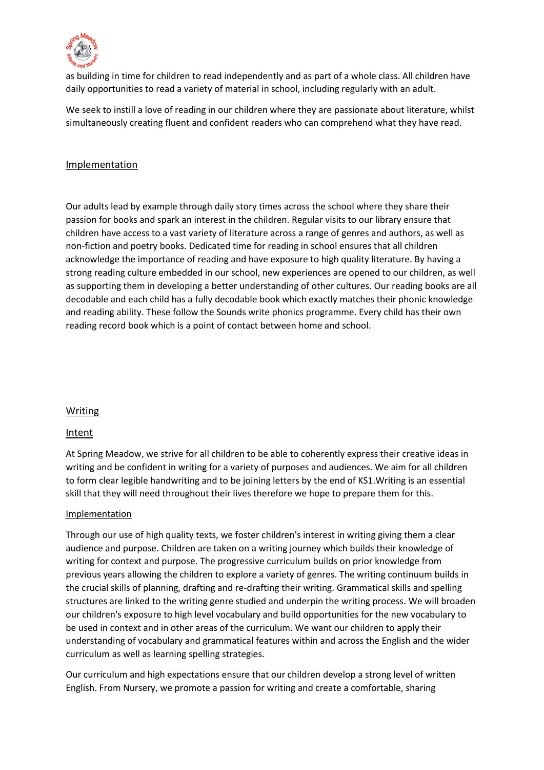

as building in time for children to read independently and as part of a whole class. All children have daily opportunities to read a variety of material in school, including regularly with an adult.

We seek to instill a love of reading in our children where they are passionate about literature, whilst simultaneously creating fluent and confident readers who can comprehend what they have read.

# Implementation

Our adults lead by example through daily story times across the school where they share their passion for books and spark an interest in the children. Regular visits to our library ensure that children have access to a vast variety of literature across a range of genres and authors, as well as non-fiction and poetry books. Dedicated time for reading in school ensures that all children acknowledge the importance of reading and have exposure to high quality literature. By having a strong reading culture embedded in our school, new experiences are opened to our children, as well as supporting them in developing a better understanding of other cultures. Our reading books are all decodable and each child has a fully decodable book which exactly matches their phonic knowledge and reading ability. These follow the Sounds write phonics programme. Every child has their own reading record book which is a point of contact between home and school.

## Writing

## Intent

At Spring Meadow, we strive for all children to be able to coherently express their creative ideas in writing and be confident in writing for a variety of purposes and audiences. We aim for all children to form clear legible handwriting and to be joining letters by the end of KS1.Writing is an essential skill that they will need throughout their lives therefore we hope to prepare them for this.

#### Implementation

Through our use of high quality texts, we foster children's interest in writing giving them a clear audience and purpose. Children are taken on a writing journey which builds their knowledge of writing for context and purpose. The progressive curriculum builds on prior knowledge from previous years allowing the children to explore a variety of genres. The writing continuum builds in the crucial skills of planning, drafting and re-drafting their writing. Grammatical skills and spelling structures are linked to the writing genre studied and underpin the writing process. We will broaden our children's exposure to high level vocabulary and build opportunities for the new vocabulary to be used in context and in other areas of the curriculum. We want our children to apply their understanding of vocabulary and grammatical features within and across the English and the wider curriculum as well as learning spelling strategies.

Our curriculum and high expectations ensure that our children develop a strong level of written English. From Nursery, we promote a passion for writing and create a comfortable, sharing